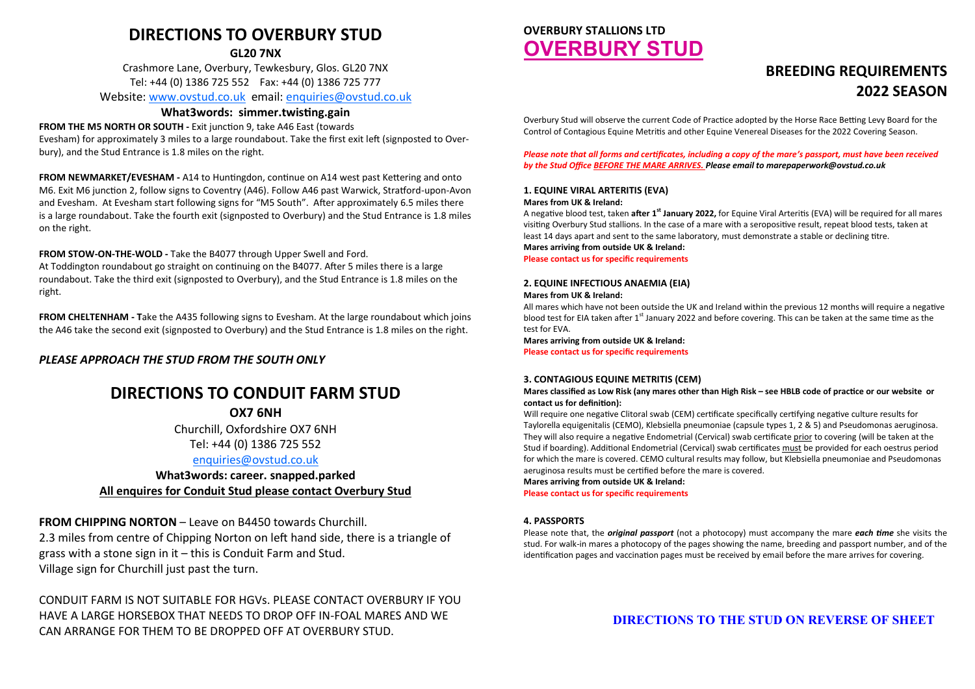# **DIRECTIONS TO OVERBURY STUD**

**GL20 7NX**

Crashmore Lane, Overbury, Tewkesbury, Glos. GL20 7NX Tel: +44 (0) 1386 725 552 Fax: +44 (0) 1386 725 777

Website: [www.ovstud.co.uk](http://www.ovstud.co.uk) email: [enquiries@ovstud.co.uk](mailto:enquiries@ovstud.co.uk)

# **What3words: simmer.twisting.gain**

# **FROM THE M5 NORTH OR SOUTH -** Exit junction 9, take A46 East (towards

Evesham) for approximately 3 miles to a large roundabout. Take the first exit left (signposted to Overbury), and the Stud Entrance is 1.8 miles on the right.

**FROM NEWMARKET/EVESHAM -** A14 to Huntingdon, continue on A14 west past Kettering and onto M6. Exit M6 junction 2, follow signs to Coventry (A46). Follow A46 past Warwick, Stratford-upon-Avon and Evesham. At Evesham start following signs for "M5 South". After approximately 6.5 miles there is a large roundabout. Take the fourth exit (signposted to Overbury) and the Stud Entrance is 1.8 miles on the right.

# **FROM STOW-ON-THE-WOLD -** Take the B4077 through Upper Swell and Ford.

At Toddington roundabout go straight on continuing on the B4077. After 5 miles there is a large roundabout. Take the third exit (signposted to Overbury), and the Stud Entrance is 1.8 miles on the right.

**FROM CHELTENHAM - T**ake the A435 following signs to Evesham. At the large roundabout which joins the A46 take the second exit (signposted to Overbury) and the Stud Entrance is 1.8 miles on the right.

*PLEASE APPROACH THE STUD FROM THE SOUTH ONLY*

# **DIRECTIONS TO CONDUIT FARM STUD**

**OX7 6NH**

Churchill, Oxfordshire OX7 6NH Tel: +44 (0) 1386 725 552

# [enquiries@ovstud.co.uk](mailto:enquiries@ovstud.co.uk)

**What3words: career. snapped.parked All enquires for Conduit Stud please contact Overbury Stud** 

**FROM CHIPPING NORTON** – Leave on B4450 towards Churchill. 2.3 miles from centre of Chipping Norton on left hand side, there is a triangle of grass with a stone sign in it – this is Conduit Farm and Stud. Village sign for Churchill just past the turn.

CONDUIT FARM IS NOT SUITABLE FOR HGVs. PLEASE CONTACT OVERBURY IF YOU HAVE A LARGE HORSEBOX THAT NEEDS TO DROP OFF IN-FOAL MARES AND WE CAN ARRANGE FOR THEM TO BE DROPPED OFF AT OVERBURY STUD.

# **OVERBURY STALLIONS LTD OVERBURY STUD**

# **BREEDING REQUIREMENTS 2022 SEASON**

Overbury Stud will observe the current Code of Practice adopted by the Horse Race Betting Levy Board for the Control of Contagious Equine Metritis and other Equine Venereal Diseases for the 2022 Covering Season.

*Please note that all forms and certificates, including a copy of the mare's passport, must have been received by the Stud Office BEFORE THE MARE ARRIVES. Please email to marepaperwork@ovstud.co.uk*

# **1. EQUINE VIRAL ARTERITIS (EVA)**

### **Mares from UK & Ireland:**

A negative blood test, taken **after 1st January 2022,** for Equine Viral Arteritis (EVA) will be required for all mares visiting Overbury Stud stallions. In the case of a mare with a seropositive result, repeat blood tests, taken at least 14 days apart and sent to the same laboratory, must demonstrate a stable or declining titre.

**Mares arriving from outside UK & Ireland:**

**Please contact us for specific requirements**

# **2. EQUINE INFECTIOUS ANAEMIA (EIA)**

# **Mares from UK & Ireland:**

All mares which have not been outside the UK and Ireland within the previous 12 months will require a negative blood test for EIA taken after 1<sup>st</sup> January 2022 and before covering. This can be taken at the same time as the test for EVA.

**Mares arriving from outside UK & Ireland:**

**Please contact us for specific requirements**

# **3. CONTAGIOUS EQUINE METRITIS (CEM)**

**Mares classified as Low Risk (any mares other than High Risk – see HBLB code of practice or our website or contact us for definition):**

Will require one negative Clitoral swab (CEM) certificate specifically certifying negative culture results for Taylorella equigenitalis (CEMO), Klebsiella pneumoniae (capsule types 1, 2 & 5) and Pseudomonas aeruginosa. They will also require a negative Endometrial (Cervical) swab certificate prior to covering (will be taken at the Stud if boarding). Additional Endometrial (Cervical) swab certificates must be provided for each oestrus period for which the mare is covered. CEMO cultural results may follow, but Klebsiella pneumoniae and Pseudomonas aeruginosa results must be certified before the mare is covered.

**Mares arriving from outside UK & Ireland: Please contact us for specific requirements**

# **4. PASSPORTS**

Please note that, the *original passport* (not a photocopy) must accompany the mare *each time* she visits the stud. For walk-in mares a photocopy of the pages showing the name, breeding and passport number, and of the identification pages and vaccination pages must be received by email before the mare arrives for covering.